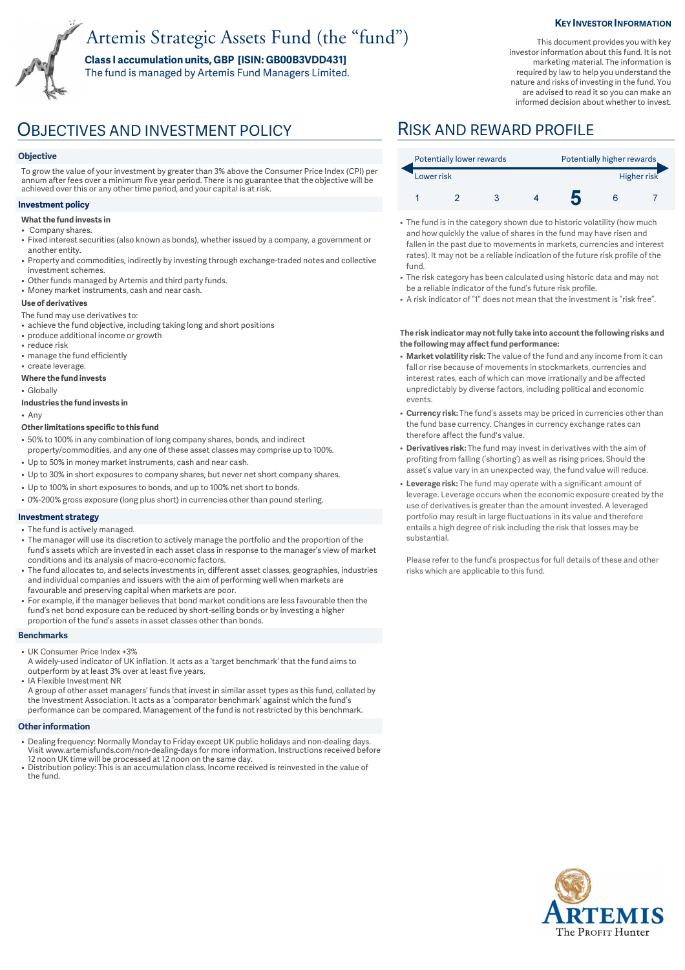# Artemis Strategic Assets Fund (the "fund")

**Class I accumulation units, GBP [ISIN: GB00B3VDD431]**  The fund is managed by Artemis Fund Managers Limited.

#### **KEY INVESTOR INFORMATION**

This document provides you with key investor information about this fund. It is not marketing material. The information is required by law to help you understand the nature and risks of investing in the fund. You are advised to read it so you can make an informed decision about whether to invest.

### **Objective**

To grow the value of your investment by greater than 3% above the Consumer Price Index (CPI) per annum after fees over a minimum five year period. There is no guarantee that the objective will be achieved over this or any other time period, and your capital is at risk.

### **Investment policy**

- **What the fund invests in**
- Company shares.
- Fixed interest securities (also known as bonds), whether issued by a company, a government or another entity.
- Property and commodities, indirectly by investing through exchange-traded notes and collective investment schemes.
- Other funds managed by Artemis and third party funds.
- Money market instruments, cash and near cash.

#### **Use of derivatives**

- The fund may use derivatives to:
- achieve the fund objective, including taking long and short positions
- produce additional income or growth
- reduce risk
- manage the fund efficiently • create leverage.
- **Where the fund invests**
- Globally
- **Industries the fund invests in**

• Any

#### **Other limitations specific to this fund**

- 50% to 100% in any combination of long company shares, bonds, and indirect property/commodities, and any one of these asset classes may comprise up to 100%.
- Up to 50% in money market instruments, cash and near cash.
- Up to 30% in short exposures to company shares, but never net short company shares.
- Up to 100% in short exposures to bonds, and up to 100% net short to bonds.
- 0%-200% gross exposure (long plus short) in currencies other than pound sterling.

#### **Investment strategy**

- The fund is actively managed.
- The manager will use its discretion to actively manage the portfolio and the proportion of the fund's assets which are invested in each asset class in response to the manager's view of market conditions and its analysis of macro-economic factors.
- The fund allocates to, and selects investments in, different asset classes, geographies, industries and individual companies and issuers with the aim of performing well when markets are favourable and preserving capital when markets are poor.
- For example, if the manager believes that bond market conditions are less favourable then the fund's net bond exposure can be reduced by short-selling bonds or by investing a higher proportion of the fund's assets in asset classes other than bonds.

#### **Benchmarks**

- UK Consumer Price Index +3%
- A widely-used indicator of UK inflation. It acts as a 'target benchmark' that the fund aims to outperform by at least 3% over at least five years.
- IA Flexible Investment NR

A group of other asset managers' funds that invest in similar asset types as this fund, collated by the Investment Association. It acts as a 'comparator benchmark' against which the fund's performance can be compared. Management of the fund is not restricted by this benchmark.

#### **Other information**

- Dealing frequency: Normally Monday to Friday except UK public holidays and non-dealing days. Visit www.artemisfunds.com/non-dealing-days for more information. Instructions received before 12 noon UK time will be processed at 12 noon on the same day.
- Distribution policy: This is an accumulation class. Income received is reinvested in the value of the fund.

## OBJECTIVES AND INVESTMENT POLICY RISK AND REWARD PROFILE

| Potentially lower rewards |  |  |  | Potentially higher rewards |  |  |
|---------------------------|--|--|--|----------------------------|--|--|
| Lower risk                |  |  |  | Higher risk                |  |  |
|                           |  |  |  |                            |  |  |

- The fund is in the category shown due to historic volatility (how much and how quickly the value of shares in the fund may have risen and fallen in the past due to movements in markets, currencies and interest rates). It may not be a reliable indication of the future risk profile of the fund.
- The risk category has been calculated using historic data and may not be a reliable indicator of the fund's future risk profile.
- A risk indicator of "1" does not mean that the investment is "risk free".

#### **The risk indicator may not fully take into account the following risks and the following may affect fund performance:**

- **Market volatility risk:** The value of the fund and any income from it can fall or rise because of movements in stockmarkets, currencies and interest rates, each of which can move irrationally and be affected unpredictably by diverse factors, including political and economic events.
- **Currency risk:** The fund's assets may be priced in currencies other than the fund base currency. Changes in currency exchange rates can therefore affect the fund's value.
- **Derivatives risk:** The fund may invest in derivatives with the aim of profiting from falling ('shorting') as well as rising prices. Should the asset's value vary in an unexpected way, the fund value will reduce.
- **Leverage risk:** The fund may operate with a significant amount of leverage. Leverage occurs when the economic exposure created by the use of derivatives is greater than the amount invested. A leveraged portfolio may result in large fluctuations in its value and therefore entails a high degree of risk including the risk that losses may be substantial.

Please refer to the fund's prospectus for full details of these and other risks which are applicable to this fund.